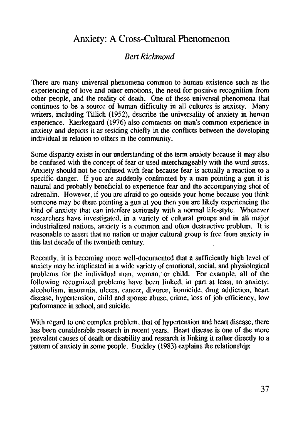## Anxiety: A Cross-Cultural Phenomenon

## *Bert Richmond*

There are many universal phenomena common to human existence such as the experiencing of love and other emotions, the need for positive recognition from other people, and the reality of death. One of these universal phenomena that continues to be a source of human difficulty in all cultures is anxiety. Many writers, including Tillich (1952), describe the universality of anxiety in human experience. Kierkegaard (1976) also comments on man's common experience in anxiety and depicts it as residing chiefly in the conflicts between the developing individual in relation to others in the community.

Some disparity exists in our understanding of the term anxiety because it may also be confused with the concept of fear or used interchangeably with the word stress. Anxiety should not be confused with fear because fear is actually a reaction to a specific danger. If you are suddenly confronted by a man pointing a gun it is natural and probably beneficial to experience fear and the accompanying shot of adrenalin. However, if you are afraid to go outside your home because you think someone may be there pointing a gun at you then you are likely experiencing the kind of anxiety that can interfere seriously with a normal life-style. Wherever researchers have investigated, in a variety of cultural groups and in all major industrialized nations, anxiety is a common and often destructive problem. It is reasonable to assert that no nation or major cultural group is free from anxiety in this last decade of the twentieth century.

Recently, it is becoming more well-documented that a sufficiently high level of anxiety may be implicated in a wide variety of emotional, social, and physiological problems for the individual man, woman, or child. For example, all of the following recognized problems have been linked, in part at least, to anxiety: alcoholism, insomnia, ulcers, cancer, divorce, homicide, drug addiction, heart disease, hypertension, child and spouse abuse, crime, loss of job efficiency, low performance in school, and suicide.

With regard to one complex problem, that of hypertension and heart disease, there has been considerable research in recent years. Heart disease is one of the more prevalent causes of death or disability and research is linking it rather directly to a pattern of anxiety in some people. Buckley (1983) explains the relationship: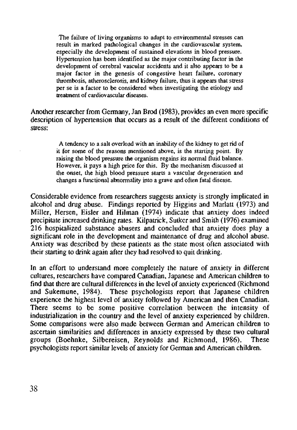The failure of living organisms to adapt to environmental stresses can result in marked pathological changes in the cardiovascular system, especially the development of sustained elevations in blood pressure. Hypertension has been identified as the major contributing factor in the development of cerebral vascular accidents and it also appears to be a major factor in the genesis of congestive heart failure, coronary thrombosis, atherosclerosis, and kidney failure, thus it appears that stress per se is a factor to be considered when investigating the etiology and treatment of cardiovascular diseases.

Another researcher from Germany, Jan Brod (1983), provides an even more specific description of hypertension that occurs as a result of the different conditions of stress:

> A tendency to a salt overload with an inability of the kidney to get rid of it for some of the reasons mentioned above, is the starting point. By raising the blood pressure the organism regains its normal fluid balance. However, it pays a high price for this. By the mechanism discussed at the onset, the high blood pressure starts a vascular degeneration and changes a functional abnormality into a grave and often fatal disease.

Considerable evidence from researchers suggests anxiety is strongly implicated in alcohol and drug abuse. Findings reported by Higgins and Marlatt (1973) and Miller, Hersen, Eisler and Hilman (1974) indicate that anxiety does indeed precipitate increased drinking rates. Kilpatrick, Sutker and Smith (1976) examined 216 hospitalized substance abusers and concluded that anxiety does play a significant role in the development and maintenance of drug and alcohol abuse. Anxiety was described by these patients as the state most often associated with their starting to drink again after they had resolved to quit drinking.

In an effort to understand more completely the nature of anxiety in different cultures, researchers have compared Canadian, Japanese and American children to find that there are cultural differences in the level of anxiety experienced (Richmond and Sukemune, 1984). These psychologists report that Japanese children experience the highest level of anxiety followed by American and then Canadian. There seems to be some positive correlation between the intensity of industrialization in the country and the level of anxiety experienced by children. Some comparisons were also made between German and American children to ascertain similarities and differences in anxiety expressed by these two cultural groups (Boehnke, Silbereisen, Reynolds and Richmond, 1986). These psychologists report similar levels of anxiety for German and American children.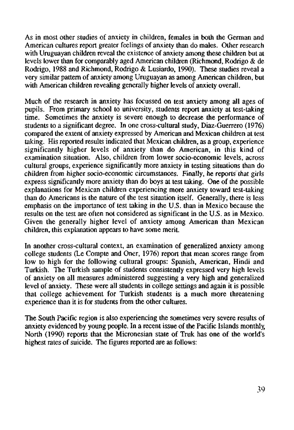As in most other studies of anxiety in children, females in both the German and American cultures report greater feelings of anxiety than do males. Other research with Uruguayan children reveal the existence of anxiety among these children but at levels lower than for comparably aged American children (Richmond, Rodrigo & de Rodrigo, 1988 and Richmond, Rodrigo & Lusiardo, 1990). These studies reveal a very similar pattern of anxiety among Uruguayan as among American children, but with American children revealing generally higher levels of anxiety overall.

Much of the research in anxiety has focussed on test anxiety among all ages of pupils. From primary school to university, students report anxiety at test-taking time. Sometimes the anxiety is severe enough to decrease the performance of students to a significant degree. In one cross-cultural study, Diaz-Guerrero (1976) compared the extent of anxiety expressed by American and Mexican children at test taking. His reported results indicated that Mexican children, as a group, experience significantly higher levels of anxiety than do American, in this kind of examination situation. Also, children from lower socio-economic levels, across cultural groups, experience significantly more anxiety in testing situations than do children from higher socio-economic circumstances. Finally, he reports that girls express significantly more anxiety than do boys at test taking. One of the possible explanations for Mexican children experiencing more anxiety toward test-taking than do Americans is the nature of the test situation itself. Generally, there is less emphasis on the importance of test taking in the U.S. than in Mexico because the results on the test are often not considered as significant in the U.S. as in Mexico. Given the generally higher level of anxiety among American than Mexican children, this explanation appears to have some merit.

In another cross-cultural context, an examination of generalized anxiety among college students (Le Compte and Oner, 1976) report that mean scores range from low to high for the following cultural groups: Spanish, American, Hindi and Turkish. The Turkish sample of students consistently expressed very high levels of anxiety on all measures administered suggesting a very high and generalized level of anxiety. These were all students in college settings and again it is possible that college achievement for Turkish students is a much more threatening experience than it is for students from the other cultures.

The South Pacific region is also experiencing the sometimes very severe results of anxiety evidenced by young people. In a recent issue of the Pacific Islands monthly, North (1990) reports that the Micronesian state of Truk has one of the world's highest rates of suicide. The figures reported are as follows: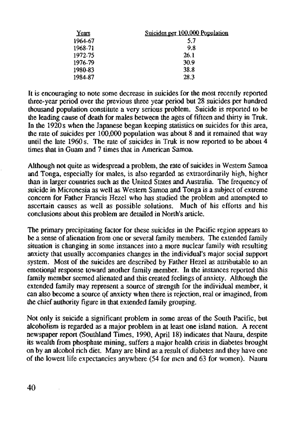| Years   | Suicides per 100,000 Population |
|---------|---------------------------------|
| 1964-67 | 5.7                             |
| 1968-71 | 98                              |
| 1972-75 | 26.1                            |
| 1976-79 | 30.9                            |
| 1980-83 | 38.8                            |
| 1984-87 | 28.3                            |

It is encouraging to note some decrease in suicides for the most recently reported three-year period over the previous three year period but 28 suicides per hundred thousand population constitute a very serious problem. Suicide is reported to be the leading cause of death for males between the ages of fifteen and thirty in Truk. In the 1920 s when the Japanese began keeping statistics on suicides for this area, the rate of suicides per 100,000 population was about 8 and it remained that way until the late 1960 s. The rate of suicides in Truk is now reported to be about 4 times that in Guam and 7 times that in American Samoa.

Although not quite as widespread a problem, the rate of suicides in Western Samoa and Tonga, especially for males, is also regarded as extraordinarily high, higher than in larger countries such as the United States and Australia. The frequency of suicide in Micronesia as well as Western Samoa and Tonga is a subject of extreme concern for Father Francis Hezel who has studied the problem and attempted to ascertain causes as well as possible solutions. Much of his efforts and his conclusions about this problem are detailed in North's article.

The primary precipitating factor for these suicides in the Pacific region appears to be a sense of alienation from one or several family members. The extended family situation is changing in some instances into a more nuclear family with resulting anxiety that usually accompanies changes in the individual's major social support system. Most of the suicides are described by Father Hezel as attributable to an emotional response toward another family member. In the instances reported this family member seemed alienated and this created feelings of anxiety. Although the extended family may represent a source of strength for the individual member, it can also become a source of anxiety when there is rejection, real or imagined, from the chief authority figure in that extended family grouping.

Not only is suicide a significant problem in some areas of the South Pacific, but alcoholism is regarded as a major problem in at least one island nation. A recent newspaper report (Southland Times, 1990, April 18) indicates that Nauru, despite its wealth from phosphate mining, suffers a major health crisis in diabetes brought on by an alcohol rich diet. Many are blind as a result of diabetes and they have one of the lowest life expectancies anywhere (54 for men and 63 for women). Nauru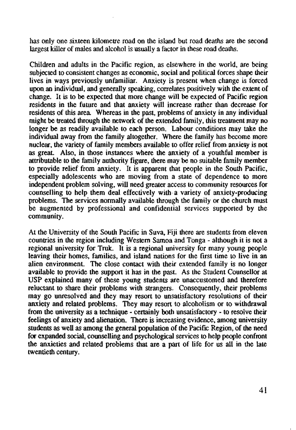has only one sixteen kilometre road on the island but road deaths are the second largest killer of males and alcohol is usually a factor in these road deaths.

Children and adults in the Pacific region, as elsewhere in the world, are being subjected to consistent changes as economic, social and political forces shape their lives in ways previously unfamiliar. Anxiety is present when change is forced upon an individual, and generally speaking, correlates positively with the extent of change. It is to be expected that more change will be expected of Pacific region residents in the future and that anxiety will increase rather than decrease for residents of this area. Whereas in the past, problems of anxiety in any individual might be treated through the network of the extended family, this treatment may no longer be as readily available to each person. Labour conditions may take the individual away from the family altogether. Where the family has become more nuclear, the variety of family members available to offer relief from anxiety is not as great. Also, in those instances where the anxiety of a youthful member is attributable to the family authority figure, there may be no suitable family member to provide relief from anxiety. It is apparent that people in the South Pacific, especially adolescents who are moving from a state of dependence to more independent problem solving, will need greater access to community resources for counselling to help them deal effectively with a variety of anxiety-producing problems. The services normally available through the family or the church must be augmented by professional and confidential services supported by the community.

At the University of the South Pacific in Suva, Fiji there are students from eleven countries in the region including Western Samoa and Tonga - although it is not a regional university for Truk. It is a regional university for many young people leaving their homes, families, and island nations for the first time to live in an alien environment. The close contact with their extended family is no longer available to provide the support it has in the past. As the Student Counsellor at USP explained many of these young students are unaccustomed and therefore reluctant to share their problems with strangers. Consequently, their problems may go unresolved and they may resort to unsatisfactory resolutions of their anxiety and related problems. They may resort to alcoholism or to withdrawal from the university as a technique - certainly both unsatisfactory - to resolve their feelings of anxiety and alienation. There is increasing evidence, among university students as well as among the general population of the Pacific Region, of the need for expanded social, counselling and psychological services to help people confront the anxieties and related problems that are a part of life for us all in the late twentieth century.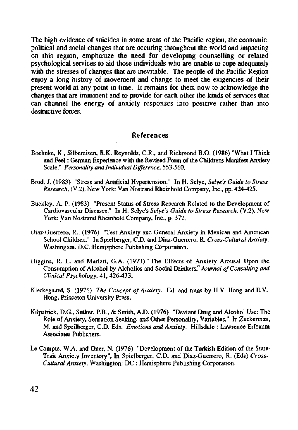The high evidence of suicides in some areas of the Pacific region, the economic, political and social changes that are occuring throughout the world and impacting on this region, emphasize the need for developing counselling or related psychological services to aid those individuals who are unable to cope adequately with the stresses of changes that are inevitable. The people of the Pacific Region enjoy a long history of movement and change to meet the exigencies of their present world at any point in time. It remains for them now to acknowledge the changes that are imminent and to provide for each other the kinds of services that can channel the energy of anxiety responses into positive rather than into destructive forces.

## References

- Boehnke, K., Silbereisen, R.K. Reynolds, C.R., and Richmond B.O. (1986) "What I Think and Feel: German Experience with the Revised Form of the Childrens Manifest Anxiety Scale." *Personality and Individual Difference,* 553-560.
- Brod, J. (1983) "Stress and Artificial Hypertension." In H. Selye, *Selye's Guide to Stress Research,* (V.2), New York: Van Nostrand Rheinhold Company, Inc., pp. 424-425.
- Buckley, A. P. (1983) "Present Status of Stress Research Related to the Development of Cardiovascular Diseases." In H. Selye's *Selye's Guide to Stress Research,* (V.2), New York: Van Nostrand Rheinhold Company, Inc., p. 372.
- Diaz-Guerrero, R., (1976) 'Test Anxiety and General Anxiety in Mexican and American School Children." In Spielberger, C.D. and Diaz-Guerrero, R. Cross-Cultural Anxiety, Washington, D.C.:Hemisphere Publishing Corporation.
- Higgins, R. L. and Marlatt, G.A. (1973) "The Effects of Anxiety Arousal Upon the Consumption of Alcohol by Alcholics and Social Drinkers." *Journal of Consulting and Clinical Psychology,* 41, 426433.
- Kierkegaard, S. (1976) *The Concept of Anxiety.* Ed. and trans by H.V. Hong and E.V. Hong, Princeton University Press.
- Kilpatrick, D.G., Sutker, P.B., & Smith, A.D. (1976) "Deviant Drug and Alcohol Use: The Role of Anxiety, Sensation Seeking, and Other Personality, Variables." In Zuckerman, M. and Speilberger, C.D. Eds. *Emotions and Anxiety.* Hillsdale : Lawrence Erlbaum Associates Publishers.
- Le Compte, W.A. and Oner, N. (1976) "Development of the Turkish Edition of the State-Trait Anxiety Inventory", In Spielberger, C.D. and Diaz-Guerrero, R. (Eds) *Cross-Cultural Anxiety,* Washington: DC : Hemisphere Publishing Corporation.